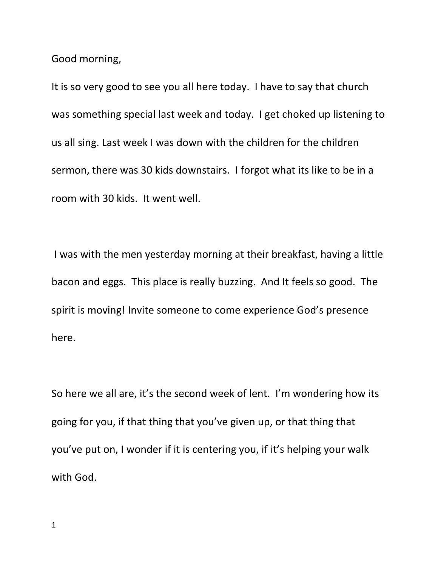Good morning,

It is so very good to see you all here today. I have to say that church was something special last week and today. I get choked up listening to us all sing. Last week I was down with the children for the children sermon, there was 30 kids downstairs. I forgot what its like to be in a room with 30 kids. It went well.

I was with the men yesterday morning at their breakfast, having a little bacon and eggs. This place is really buzzing. And It feels so good. The spirit is moving! Invite someone to come experience God's presence here.

So here we all are, it's the second week of lent. I'm wondering how its going for you, if that thing that you've given up, or that thing that you've put on, I wonder if it is centering you, if it's helping your walk with God.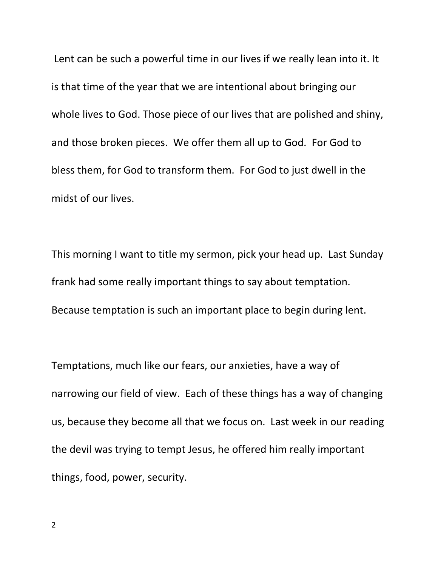Lent can be such a powerful time in our lives if we really lean into it. It is that time of the year that we are intentional about bringing our whole lives to God. Those piece of our lives that are polished and shiny, and those broken pieces. We offer them all up to God. For God to bless them, for God to transform them. For God to just dwell in the midst of our lives.

This morning I want to title my sermon, pick your head up. Last Sunday frank had some really important things to say about temptation. Because temptation is such an important place to begin during lent.

Temptations, much like our fears, our anxieties, have a way of narrowing our field of view. Each of these things has a way of changing us, because they become all that we focus on. Last week in our reading the devil was trying to tempt Jesus, he offered him really important things, food, power, security.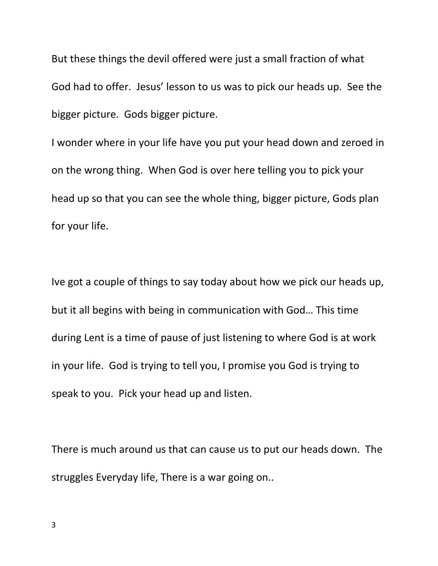But these things the devil offered were just a small fraction of what God had to offer. Jesus' lesson to us was to pick our heads up. See the bigger picture. Gods bigger picture.

I wonder where in your life have you put your head down and zeroed in on the wrong thing. When God is over here telling you to pick your head up so that you can see the whole thing, bigger picture, Gods plan for your life.

Ive got a couple of things to say today about how we pick our heads up, but it all begins with being in communication with God… This time during Lent is a time of pause of just listening to where God is at work in your life. God is trying to tell you, I promise you God is trying to speak to you. Pick your head up and listen.

There is much around us that can cause us to put our heads down. The struggles Everyday life, There is a war going on..

3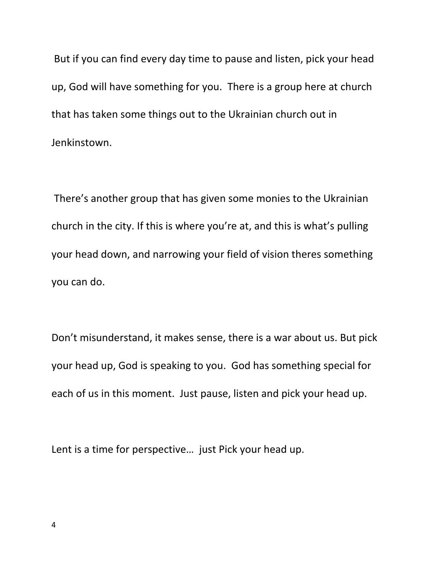But if you can find every day time to pause and listen, pick your head up, God will have something for you. There is a group here at church that has taken some things out to the Ukrainian church out in Jenkinstown.

There's another group that has given some monies to the Ukrainian church in the city. If this is where you're at, and this is what's pulling your head down, and narrowing your field of vision theres something you can do.

Don't misunderstand, it makes sense, there is a war about us. But pick your head up, God is speaking to you. God has something special for each of us in this moment. Just pause, listen and pick your head up.

Lent is a time for perspective… just Pick your head up.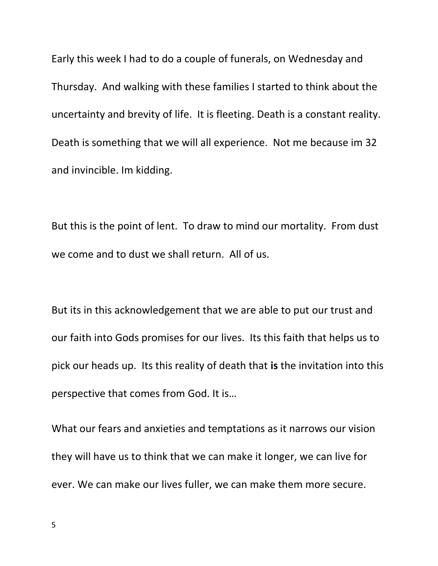Early this week I had to do a couple of funerals, on Wednesday and Thursday. And walking with these families I started to think about the uncertainty and brevity of life. It is fleeting. Death is a constant reality. Death is something that we will all experience. Not me because im 32 and invincible. Im kidding.

But this is the point of lent. To draw to mind our mortality. From dust we come and to dust we shall return. All of us.

But its in this acknowledgement that we are able to put our trust and our faith into Gods promises for our lives. Its this faith that helps us to pick our heads up. Its this reality of death that **is** the invitation into this perspective that comes from God. It is…

What our fears and anxieties and temptations as it narrows our vision they will have us to think that we can make it longer, we can live for ever. We can make our lives fuller, we can make them more secure.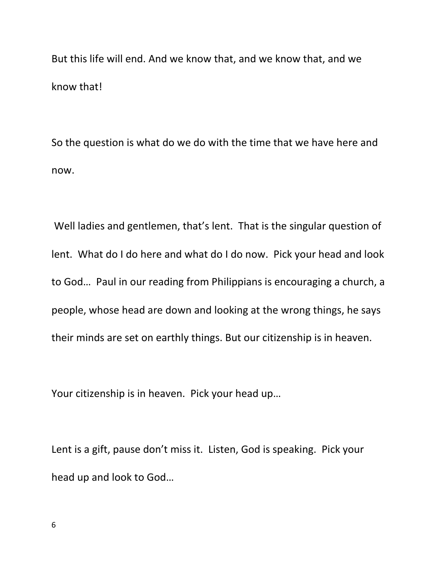But this life will end. And we know that, and we know that, and we know that!

So the question is what do we do with the time that we have here and now.

Well ladies and gentlemen, that's lent. That is the singular question of lent. What do I do here and what do I do now. Pick your head and look to God… Paul in our reading from Philippians is encouraging a church, a people, whose head are down and looking at the wrong things, he says their minds are set on earthly things. But our citizenship is in heaven.

Your citizenship is in heaven. Pick your head up…

Lent is a gift, pause don't miss it. Listen, God is speaking. Pick your head up and look to God…